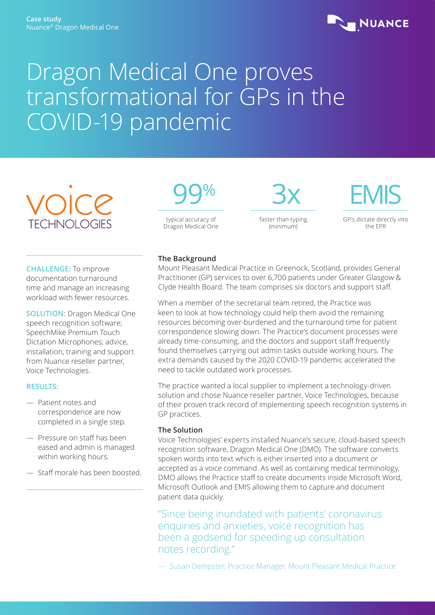

# Dragon Medical One proves transformational for GPs in the COVID-19 pandemic



**CHALLENGE:** To improve documentation turnaround time and manage an increasing workload with fewer resources.

**SOLUTION:** Dragon Medical One speech recognition software; SpeechMike Premium Touch Dictation Microphones; advice, installation, training and support from Nuance reseller partner, Voice Technologies.

### **RESULTS:**

- Patient notes and correspondence are now completed in a single step.
- Pressure on staff has been eased and admin is managed within working hours.
- Staff morale has been boosted.



faster than typing (minimum)



GP's dictate directly into the EPR

# **The Background**

Mount Pleasant Medical Practice in Greenock, Scotland, provides General Practitioner (GP) services to over 6,700 patients under Greater Glasgow & Clyde Health Board. The team comprises six doctors and support staff.

3x

When a member of the secretarial team retired, the Practice was keen to look at how technology could help them avoid the remaining resources becoming over-burdened and the turnaround time for patient correspondence slowing down. The Practice's document processes were already time-consuming, and the doctors and support staff frequently found themselves carrying out admin tasks outside working hours. The extra demands caused by the 2020 COVID-19 pandemic accelerated the need to tackle outdated work processes.

The practice wanted a local supplier to implement a technology-driven solution and chose Nuance reseller partner, Voice Technologies, because of their proven track record of implementing speech recognition systems in GP practices.

# **The Solution**

Voice Technologies' experts installed Nuance's secure, cloud-based speech recognition software, Dragon Medical One (DMO). The software converts spoken words into text which is either inserted into a document or accepted as a voice command. As well as containing medical terminology, DMO allows the Practice staff to create documents inside Microsoft Word, Microsoft Outlook and EMIS allowing them to capture and document patient data quickly.

"Since being inundated with patients' coronavirus enquiries and anxieties, voice recognition has been a godsend for speeding up consultation notes recording."

— Susan Dempster, Practice Manager, Mount Pleasant Medical Practice